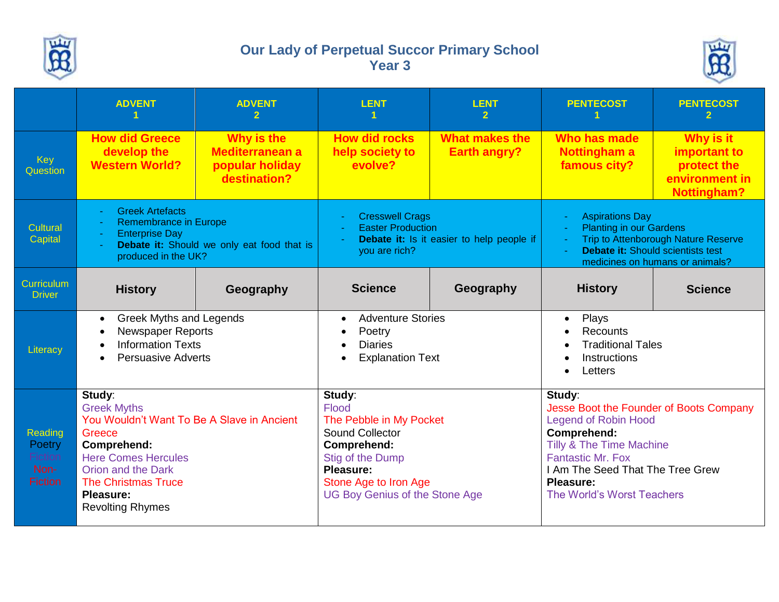

## **Our Lady of Perpetual Succor Primary School Year 3**



|                                                        | <b>ADVENT</b>                                                                                                                                                                                                                 | <b>ADVENT</b><br>$\mathbf{2}$                                           | <b>LENT</b>                                                                                                                                                                     | <b>LENT</b><br>$\mathbf{2}$                  | <b>PENTECOST</b>                                                                                                                                                                                                                                         | <b>PENTECOST</b><br>$\mathbf{2}$                                                        |
|--------------------------------------------------------|-------------------------------------------------------------------------------------------------------------------------------------------------------------------------------------------------------------------------------|-------------------------------------------------------------------------|---------------------------------------------------------------------------------------------------------------------------------------------------------------------------------|----------------------------------------------|----------------------------------------------------------------------------------------------------------------------------------------------------------------------------------------------------------------------------------------------------------|-----------------------------------------------------------------------------------------|
| Key<br>Question                                        | <b>How did Greece</b><br>develop the<br><b>Western World?</b>                                                                                                                                                                 | Why is the<br><b>Mediterranean a</b><br>popular holiday<br>destination? | <b>How did rocks</b><br>help society to<br>evolve?                                                                                                                              | <b>What makes the</b><br><b>Earth angry?</b> | Who has made<br><b>Nottingham a</b><br>famous city?                                                                                                                                                                                                      | <b>Why is it</b><br>important to<br>protect the<br>environment in<br><b>Nottingham?</b> |
| <b>Cultural</b><br>Capital                             | <b>Greek Artefacts</b><br><b>Remembrance in Europe</b><br><b>Enterprise Day</b><br>Debate it: Should we only eat food that is<br>produced in the UK?                                                                          |                                                                         | <b>Cresswell Crags</b><br><b>Easter Production</b><br>Debate it: Is it easier to help people if<br>you are rich?                                                                |                                              | <b>Aspirations Day</b><br><b>Planting in our Gardens</b><br>Trip to Attenborough Nature Reserve<br><b>Debate it: Should scientists test</b><br>medicines on humans or animals?                                                                           |                                                                                         |
| Curriculum<br><b>Driver</b>                            | <b>History</b>                                                                                                                                                                                                                | Geography                                                               | <b>Science</b>                                                                                                                                                                  | Geography                                    | <b>History</b>                                                                                                                                                                                                                                           | <b>Science</b>                                                                          |
| Literacy                                               | <b>Greek Myths and Legends</b><br>$\bullet$<br><b>Newspaper Reports</b><br><b>Information Texts</b><br><b>Persuasive Adverts</b>                                                                                              |                                                                         | <b>Adventure Stories</b><br>$\bullet$<br>Poetry<br><b>Diaries</b><br><b>Explanation Text</b>                                                                                    |                                              | Plays<br>$\bullet$<br>Recounts<br><b>Traditional Tales</b><br>Instructions<br>Letters                                                                                                                                                                    |                                                                                         |
| Reading<br>Poetry<br>Fiction<br>Non-<br><b>Fiction</b> | Study:<br><b>Greek Myths</b><br>You Wouldn't Want To Be A Slave in Ancient<br>Greece<br>Comprehend:<br><b>Here Comes Hercules</b><br>Orion and the Dark<br><b>The Christmas Truce</b><br>Pleasure:<br><b>Revolting Rhymes</b> |                                                                         | Study:<br>Flood<br>The Pebble in My Pocket<br>Sound Collector<br>Comprehend:<br>Stig of the Dump<br>Pleasure:<br>Stone Age to Iron Age<br><b>UG Boy Genius of the Stone Age</b> |                                              | Study:<br>Jesse Boot the Founder of Boots Company<br><b>Legend of Robin Hood</b><br>Comprehend:<br><b>Tilly &amp; The Time Machine</b><br><b>Fantastic Mr. Fox</b><br>I Am The Seed That The Tree Grew<br><b>Pleasure:</b><br>The World's Worst Teachers |                                                                                         |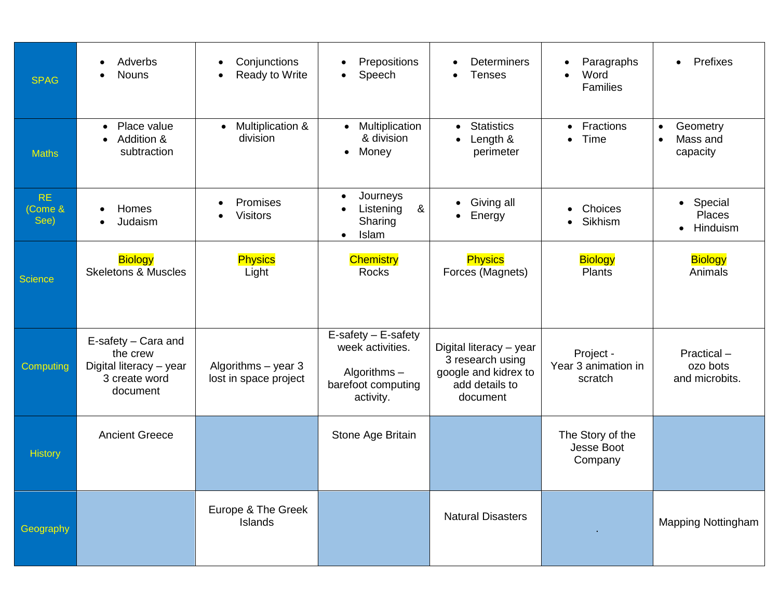| <b>SPAG</b>                 | Adverbs<br><b>Nouns</b>                                                                 | Conjunctions<br>$\bullet$<br><b>Ready to Write</b> | Prepositions<br>$\bullet$<br>Speech<br>$\bullet$                                             | <b>Determiners</b><br><b>Tenses</b>                                                               | Paragraphs<br>$\bullet$<br>Word<br>$\bullet$<br>Families | Prefixes                                                   |
|-----------------------------|-----------------------------------------------------------------------------------------|----------------------------------------------------|----------------------------------------------------------------------------------------------|---------------------------------------------------------------------------------------------------|----------------------------------------------------------|------------------------------------------------------------|
| <b>Maths</b>                | Place value<br>$\bullet$<br>Addition &<br>subtraction                                   | Multiplication &<br>$\bullet$<br>division          | Multiplication<br>$\bullet$<br>& division<br>Money<br>$\bullet$                              | <b>Statistics</b><br>$\bullet$<br>Length &<br>perimeter                                           | <b>Fractions</b><br>$\bullet$<br>Time<br>$\bullet$       | Geometry<br>$\bullet$<br>Mass and<br>$\bullet$<br>capacity |
| <b>RE</b><br>Come &<br>See) | Homes<br>Judaism                                                                        | Promises<br><b>Visitors</b>                        | Journeys<br>$\bullet$<br>&<br>Listening<br>Sharing<br>Islam<br>$\bullet$                     | Giving all<br>Energy<br>$\bullet$                                                                 | Choices<br>Sikhism<br>$\bullet$                          | • Special<br>Places<br>Hinduism<br>$\bullet$               |
| <b>Science</b>              | <b>Biology</b><br><b>Skeletons &amp; Muscles</b>                                        | <b>Physics</b><br>Light                            | <b>Chemistry</b><br><b>Rocks</b>                                                             | <b>Physics</b><br>Forces (Magnets)                                                                | <b>Biology</b><br><b>Plants</b>                          | <b>Biology</b><br>Animals                                  |
| Computing                   | E-safety - Cara and<br>the crew<br>Digital literacy - year<br>3 create word<br>document | Algorithms $-$ year 3<br>lost in space project     | E-safety - E-safety<br>week activities.<br>Algorithms $-$<br>barefoot computing<br>activity. | Digital literacy - year<br>3 research using<br>google and kidrex to<br>add details to<br>document | Project -<br>Year 3 animation in<br>scratch              | Practical-<br>ozo bots<br>and microbits.                   |
| <b>History</b>              | <b>Ancient Greece</b>                                                                   |                                                    | Stone Age Britain                                                                            |                                                                                                   | The Story of the<br>Jesse Boot<br>Company                |                                                            |
| Geography                   |                                                                                         | Europe & The Greek<br>Islands                      |                                                                                              | <b>Natural Disasters</b>                                                                          |                                                          | <b>Mapping Nottingham</b>                                  |